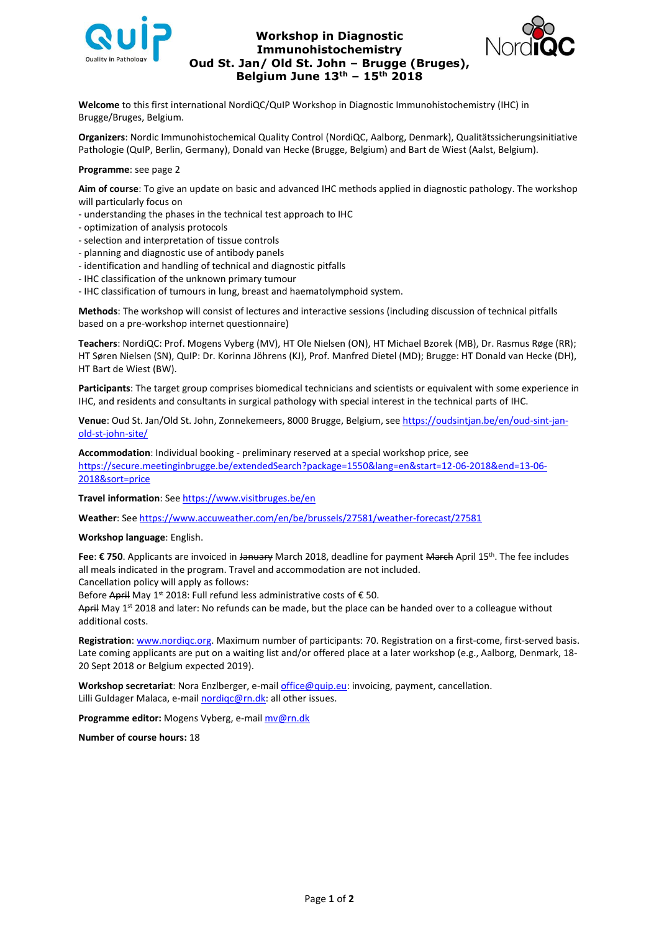

## **Workshop in Diagnostic Immunohistochemistry Oud St. Jan/ Old St. John – Brugge (Bruges), Belgium June 13th – 15th 2018**



**Welcome** to this first international NordiQC/QuIP Workshop in Diagnostic Immunohistochemistry (IHC) in Brugge/Bruges, Belgium.

**Organizers**: Nordic Immunohistochemical Quality Control (NordiQC, Aalborg, Denmark), Qualitätssicherungsinitiative Pathologie (QuIP, Berlin, Germany), Donald van Hecke (Brugge, Belgium) and Bart de Wiest (Aalst, Belgium).

## **Programme**: see page 2

**Aim of course**: To give an update on basic and advanced IHC methods applied in diagnostic pathology. The workshop will particularly focus on

- understanding the phases in the technical test approach to IHC
- optimization of analysis protocols
- selection and interpretation of tissue controls
- planning and diagnostic use of antibody panels
- identification and handling of technical and diagnostic pitfalls
- IHC classification of the unknown primary tumour
- IHC classification of tumours in lung, breast and haematolymphoid system.

**Methods**: The workshop will consist of lectures and interactive sessions (including discussion of technical pitfalls based on a pre-workshop internet questionnaire)

**Teachers**: NordiQC: Prof. Mogens Vyberg (MV), HT Ole Nielsen (ON), HT Michael Bzorek (MB), Dr. Rasmus Røge (RR); HT Søren Nielsen (SN), QuIP: Dr. Korinna Jöhrens (KJ), Prof. Manfred Dietel (MD); Brugge: HT Donald van Hecke (DH), HT Bart de Wiest (BW).

**Participants**: The target group comprises biomedical technicians and scientists or equivalent with some experience in IHC, and residents and consultants in surgical pathology with special interest in the technical parts of IHC.

**Venue**: Oud St. Jan/Old St. John, Zonnekemeers, 8000 Brugge, Belgium, see [https://oudsintjan.be/en/oud-sint-jan](https://oudsintjan.be/en/oud-sint-jan-old-st-john-site/)[old-st-john-site/](https://oudsintjan.be/en/oud-sint-jan-old-st-john-site/)

**Accommodation**: Individual booking - preliminary reserved at a special workshop price, see [https://secure.meetinginbrugge.be/extendedSearch?package=1550&lang=en&start=12-06-2018&end=13-06-](https://secure.meetinginbrugge.be/extendedSearch?package=1550&lang=en&start=12-06-2018&end=13-06-2018&sort=price) [2018&sort=price](https://secure.meetinginbrugge.be/extendedSearch?package=1550&lang=en&start=12-06-2018&end=13-06-2018&sort=price)

**Travel information**: Se[e https://www.visitbruges.be/en](https://www.visitbruges.be/en)

**Weather**: Se[e https://www.accuweather.com/en/be/brussels/27581/weather-forecast/27581](https://www.accuweather.com/en/be/brussels/27581/weather-forecast/27581)

**Workshop language**: English.

**Fee**: € 750. Applicants are invoiced in <del>January</del> March 2018, deadline for payment <del>March</del> April 15<sup>th</sup>. The fee includes all meals indicated in the program. Travel and accommodation are not included.

Cancellation policy will apply as follows:

Before April May 1<sup>st</sup> 2018: Full refund less administrative costs of € 50.

<del>April</del> May 1<sup>st</sup> 2018 and later: No refunds can be made, but the place can be handed over to a colleague without additional costs.

**Registration**[: www.nordiqc.org.](http://www.nordiqc.org/) Maximum number of participants: 70. Registration on a first-come, first-served basis. Late coming applicants are put on a waiting list and/or offered place at a later workshop (e.g., Aalborg, Denmark, 18- 20 Sept 2018 or Belgium expected 2019).

**Workshop secretariat**: Nora Enzlberger, e-mail [office@quip.eu:](mailto:office@quip.eu) invoicing, payment, cancellation. Lilli Guldager Malaca, e-mail [nordiqc@rn.dk:](mailto:nordiqc@rn.dk) all other issues.

**Programme editor:** Mogens Vyberg, e-mai[l mv@rn.dk](mailto:mv@rn.dk)

**Number of course hours:** 18